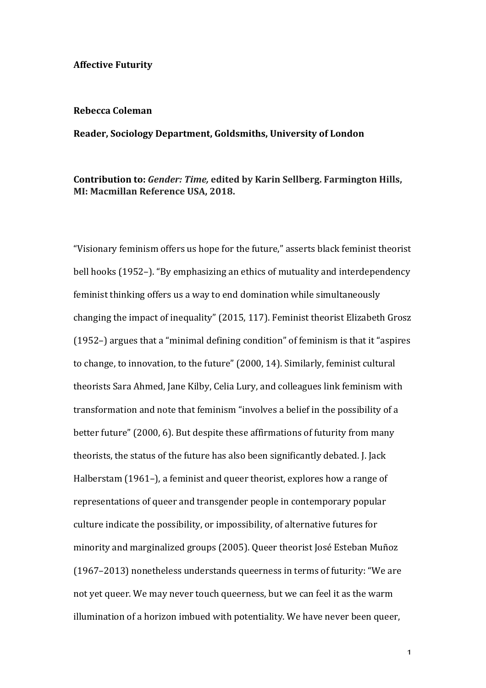#### **Affective Futurity**

#### **Rebecca Coleman**

## **Reader, Sociology Department, Goldsmiths, University of London**

**Contribution to:** *Gender: Time,* **edited by Karin Sellberg. Farmington Hills, MI: Macmillan Reference USA, 2018.** 

"Visionary feminism offers us hope for the future," asserts black feminist theorist bell hooks (1952–). "By emphasizing an ethics of mutuality and interdependency feminist thinking offers us a way to end domination while simultaneously changing the impact of inequality"  $(2015, 117)$ . Feminist theorist Elizabeth Grosz (1952–) argues that a "minimal defining condition" of feminism is that it "aspires" to change, to innovation, to the future" (2000, 14). Similarly, feminist cultural theorists Sara Ahmed, Jane Kilby, Celia Lury, and colleagues link feminism with transformation and note that feminism "involves a belief in the possibility of a better future" (2000, 6). But despite these affirmations of futurity from many theorists, the status of the future has also been significantly debated. J. Jack Halberstam (1961–), a feminist and queer theorist, explores how a range of representations of queer and transgender people in contemporary popular culture indicate the possibility, or impossibility, of alternative futures for minority and marginalized groups (2005). Queer theorist José Esteban Muñoz (1967–2013) nonetheless understands queerness in terms of futurity: "We are not yet queer. We may never touch queerness, but we can feel it as the warm illumination of a horizon imbued with potentiality. We have never been queer,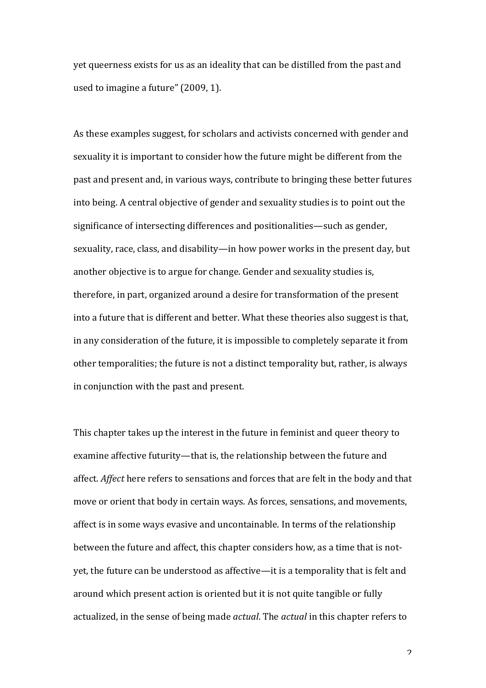yet queerness exists for us as an ideality that can be distilled from the past and used to imagine a future" (2009, 1).

As these examples suggest, for scholars and activists concerned with gender and sexuality it is important to consider how the future might be different from the past and present and, in various ways, contribute to bringing these better futures into being. A central objective of gender and sexuality studies is to point out the significance of intersecting differences and positionalities—such as gender, sexuality, race, class, and disability—in how power works in the present day, but another objective is to argue for change. Gender and sexuality studies is, therefore, in part, organized around a desire for transformation of the present into a future that is different and better. What these theories also suggest is that, in any consideration of the future, it is impossible to completely separate it from other temporalities; the future is not a distinct temporality but, rather, is always in conjunction with the past and present.

This chapter takes up the interest in the future in feminist and queer theory to examine affective futurity—that is, the relationship between the future and affect. *Affect* here refers to sensations and forces that are felt in the body and that move or orient that body in certain ways. As forces, sensations, and movements, affect is in some ways evasive and uncontainable. In terms of the relationship between the future and affect, this chapter considers how, as a time that is notyet, the future can be understood as affective—it is a temporality that is felt and around which present action is oriented but it is not quite tangible or fully actualized, in the sense of being made *actual*. The *actual* in this chapter refers to

 $\overline{\mathcal{L}}$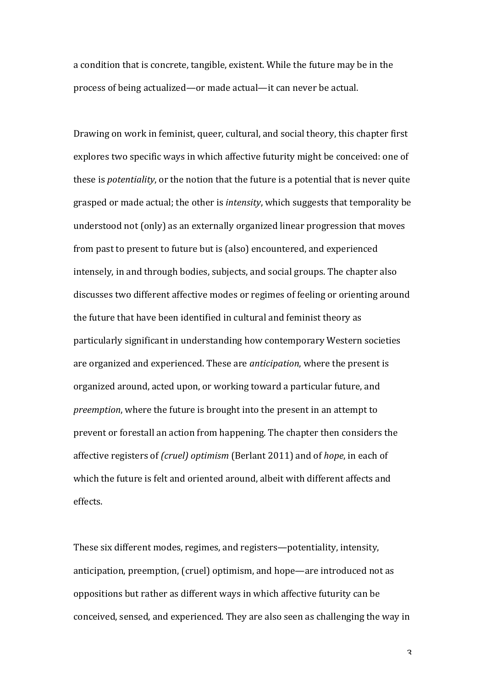a condition that is concrete, tangible, existent. While the future may be in the process of being actualized—or made actual—it can never be actual.

Drawing on work in feminist, queer, cultural, and social theory, this chapter first explores two specific ways in which affective futurity might be conceived: one of these is *potentiality*, or the notion that the future is a potential that is never quite grasped or made actual; the other is *intensity*, which suggests that temporality be understood not (only) as an externally organized linear progression that moves from past to present to future but is (also) encountered, and experienced intensely, in and through bodies, subjects, and social groups. The chapter also discusses two different affective modes or regimes of feeling or orienting around the future that have been identified in cultural and feminist theory as particularly significant in understanding how contemporary Western societies are organized and experienced. These are *anticipation*, where the present is organized around, acted upon, or working toward a particular future, and *preemption*, where the future is brought into the present in an attempt to prevent or forestall an action from happening. The chapter then considers the affective registers of *(cruel)* optimism (Berlant 2011) and of *hope*, in each of which the future is felt and oriented around, albeit with different affects and effects.

These six different modes, regimes, and registers—potentiality, intensity, anticipation, preemption, (cruel) optimism, and hope—are introduced not as oppositions but rather as different ways in which affective futurity can be conceived, sensed, and experienced. They are also seen as challenging the way in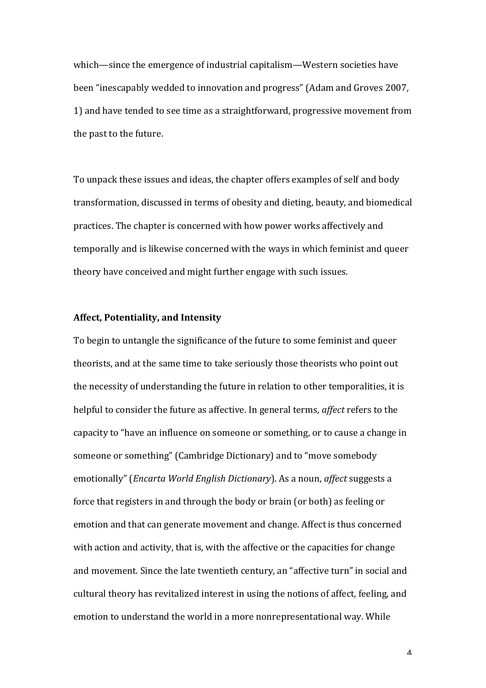which—since the emergence of industrial capitalism—Western societies have been "inescapably wedded to innovation and progress" (Adam and Groves 2007, 1) and have tended to see time as a straightforward, progressive movement from the past to the future.

To unpack these issues and ideas, the chapter offers examples of self and body transformation, discussed in terms of obesity and dieting, beauty, and biomedical practices. The chapter is concerned with how power works affectively and temporally and is likewise concerned with the ways in which feminist and queer theory have conceived and might further engage with such issues.

# **Affect, Potentiality, and Intensity**

To begin to untangle the significance of the future to some feminist and queer theorists, and at the same time to take seriously those theorists who point out the necessity of understanding the future in relation to other temporalities, it is helpful to consider the future as affective. In general terms, *affect* refers to the capacity to "have an influence on someone or something, or to cause a change in someone or something" (Cambridge Dictionary) and to "move somebody emotionally" (*Encarta World English Dictionary*). As a noun, *affect* suggests a force that registers in and through the body or brain (or both) as feeling or emotion and that can generate movement and change. Affect is thus concerned with action and activity, that is, with the affective or the capacities for change and movement. Since the late twentieth century, an "affective turn" in social and cultural theory has revitalized interest in using the notions of affect, feeling, and emotion to understand the world in a more nonrepresentational way. While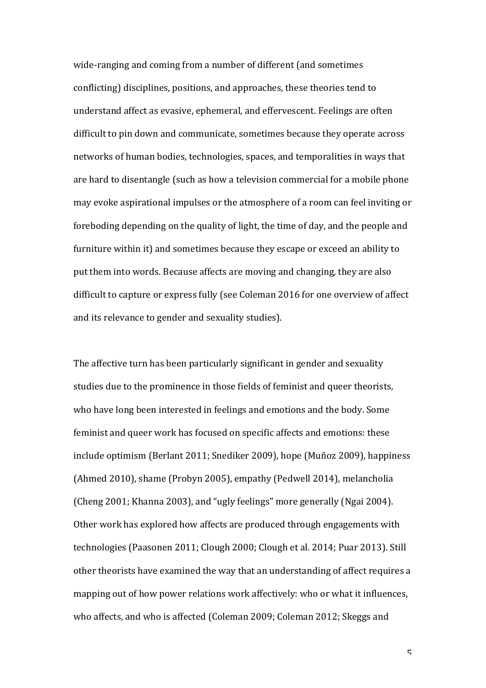wide-ranging and coming from a number of different (and sometimes conflicting) disciplines, positions, and approaches, these theories tend to understand affect as evasive, ephemeral, and effervescent. Feelings are often difficult to pin down and communicate, sometimes because they operate across networks of human bodies, technologies, spaces, and temporalities in ways that are hard to disentangle (such as how a television commercial for a mobile phone may evoke aspirational impulses or the atmosphere of a room can feel inviting or foreboding depending on the quality of light, the time of day, and the people and furniture within it) and sometimes because they escape or exceed an ability to put them into words. Because affects are moving and changing, they are also difficult to capture or express fully (see Coleman 2016 for one overview of affect and its relevance to gender and sexuality studies).

The affective turn has been particularly significant in gender and sexuality studies due to the prominence in those fields of feminist and queer theorists, who have long been interested in feelings and emotions and the body. Some feminist and queer work has focused on specific affects and emotions: these include optimism (Berlant 2011; Snediker 2009), hope (Muñoz 2009), happiness (Ahmed 2010), shame (Probyn 2005), empathy (Pedwell 2014), melancholia (Cheng 2001; Khanna 2003), and "ugly feelings" more generally (Ngai 2004). Other work has explored how affects are produced through engagements with technologies (Paasonen 2011; Clough 2000; Clough et al. 2014; Puar 2013). Still other theorists have examined the way that an understanding of affect requires a mapping out of how power relations work affectively: who or what it influences, who affects, and who is affected (Coleman 2009; Coleman 2012; Skeggs and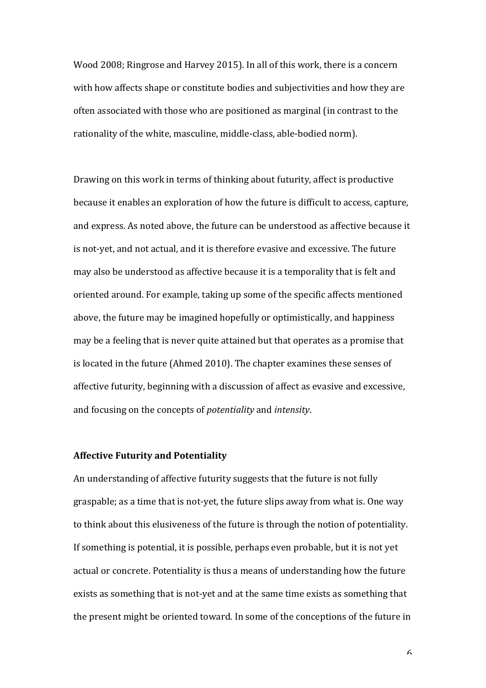Wood 2008; Ringrose and Harvey 2015). In all of this work, there is a concern with how affects shape or constitute bodies and subjectivities and how they are often associated with those who are positioned as marginal (in contrast to the rationality of the white, masculine, middle-class, able-bodied norm).

Drawing on this work in terms of thinking about futurity, affect is productive because it enables an exploration of how the future is difficult to access, capture, and express. As noted above, the future can be understood as affective because it is not-yet, and not actual, and it is therefore evasive and excessive. The future may also be understood as affective because it is a temporality that is felt and oriented around. For example, taking up some of the specific affects mentioned above, the future may be imagined hopefully or optimistically, and happiness may be a feeling that is never quite attained but that operates as a promise that is located in the future (Ahmed 2010). The chapter examines these senses of affective futurity, beginning with a discussion of affect as evasive and excessive, and focusing on the concepts of *potentiality* and *intensity*.

### **Affective Futurity and Potentiality**

An understanding of affective futurity suggests that the future is not fully graspable; as a time that is not-yet, the future slips away from what is. One way to think about this elusiveness of the future is through the notion of potentiality. If something is potential, it is possible, perhaps even probable, but it is not yet actual or concrete. Potentiality is thus a means of understanding how the future exists as something that is not-yet and at the same time exists as something that the present might be oriented toward. In some of the conceptions of the future in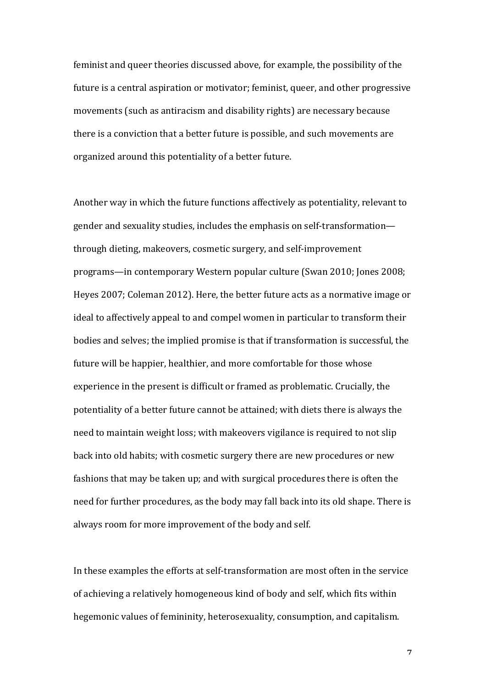feminist and queer theories discussed above, for example, the possibility of the future is a central aspiration or motivator; feminist, queer, and other progressive movements (such as antiracism and disability rights) are necessary because there is a conviction that a better future is possible, and such movements are organized around this potentiality of a better future.

Another way in which the future functions affectively as potentiality, relevant to gender and sexuality studies, includes the emphasis on self-transformation through dieting, makeovers, cosmetic surgery, and self-improvement programs—in contemporary Western popular culture (Swan 2010; Jones 2008; Heyes 2007; Coleman 2012). Here, the better future acts as a normative image or ideal to affectively appeal to and compel women in particular to transform their bodies and selves; the implied promise is that if transformation is successful, the future will be happier, healthier, and more comfortable for those whose experience in the present is difficult or framed as problematic. Crucially, the potentiality of a better future cannot be attained; with diets there is always the need to maintain weight loss; with makeovers vigilance is required to not slip back into old habits; with cosmetic surgery there are new procedures or new fashions that may be taken up; and with surgical procedures there is often the need for further procedures, as the body may fall back into its old shape. There is always room for more improvement of the body and self.

In these examples the efforts at self-transformation are most often in the service of achieving a relatively homogeneous kind of body and self, which fits within hegemonic values of femininity, heterosexuality, consumption, and capitalism.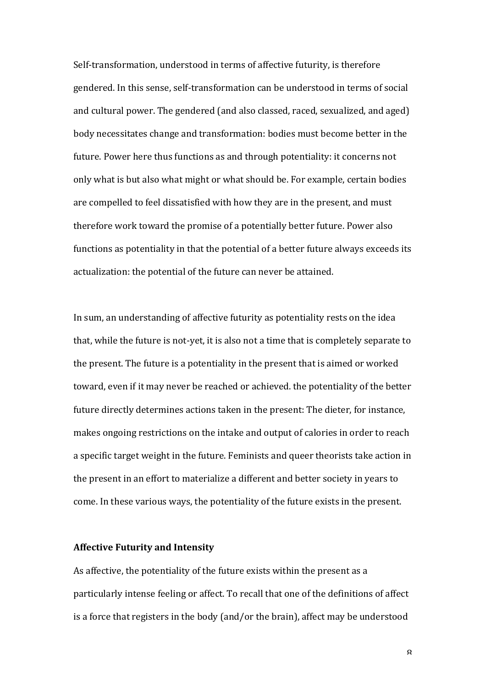Self-transformation, understood in terms of affective futurity, is therefore gendered. In this sense, self-transformation can be understood in terms of social and cultural power. The gendered (and also classed, raced, sexualized, and aged) body necessitates change and transformation: bodies must become better in the future. Power here thus functions as and through potentiality: it concerns not only what is but also what might or what should be. For example, certain bodies are compelled to feel dissatisfied with how they are in the present, and must therefore work toward the promise of a potentially better future. Power also functions as potentiality in that the potential of a better future always exceeds its actualization: the potential of the future can never be attained.

In sum, an understanding of affective futurity as potentiality rests on the idea that, while the future is not-yet, it is also not a time that is completely separate to the present. The future is a potentiality in the present that is aimed or worked toward, even if it may never be reached or achieved. the potentiality of the better future directly determines actions taken in the present: The dieter, for instance, makes ongoing restrictions on the intake and output of calories in order to reach a specific target weight in the future. Feminists and queer theorists take action in the present in an effort to materialize a different and better society in years to come. In these various ways, the potentiality of the future exists in the present.

### **Affective Futurity and Intensity**

As affective, the potentiality of the future exists within the present as a particularly intense feeling or affect. To recall that one of the definitions of affect is a force that registers in the body (and/or the brain), affect may be understood

 $\mathsf{Q}$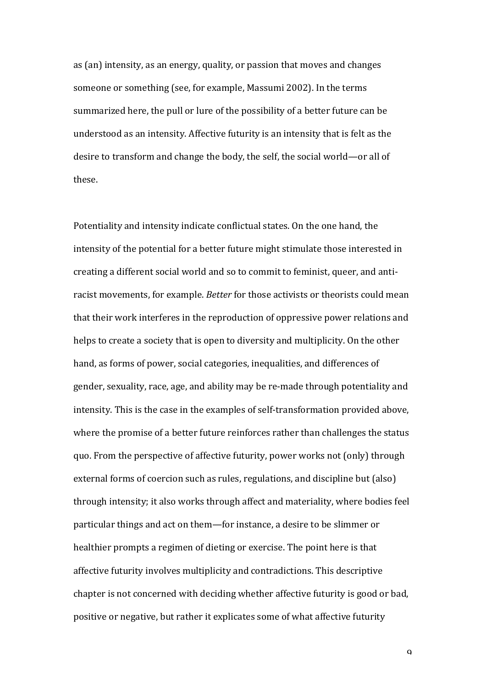as (an) intensity, as an energy, quality, or passion that moves and changes someone or something (see, for example, Massumi 2002). In the terms summarized here, the pull or lure of the possibility of a better future can be understood as an intensity. Affective futurity is an intensity that is felt as the desire to transform and change the body, the self, the social world—or all of these.

Potentiality and intensity indicate conflictual states. On the one hand, the intensity of the potential for a better future might stimulate those interested in creating a different social world and so to commit to feminist, queer, and antiracist movements, for example. *Better* for those activists or theorists could mean that their work interferes in the reproduction of oppressive power relations and helps to create a society that is open to diversity and multiplicity. On the other hand, as forms of power, social categories, inequalities, and differences of gender, sexuality, race, age, and ability may be re-made through potentiality and intensity. This is the case in the examples of self-transformation provided above, where the promise of a better future reinforces rather than challenges the status quo. From the perspective of affective futurity, power works not (only) through external forms of coercion such as rules, regulations, and discipline but (also) through intensity; it also works through affect and materiality, where bodies feel particular things and act on them—for instance, a desire to be slimmer or healthier prompts a regimen of dieting or exercise. The point here is that affective futurity involves multiplicity and contradictions. This descriptive chapter is not concerned with deciding whether affective futurity is good or bad, positive or negative, but rather it explicates some of what affective futurity

 $\mathbf Q$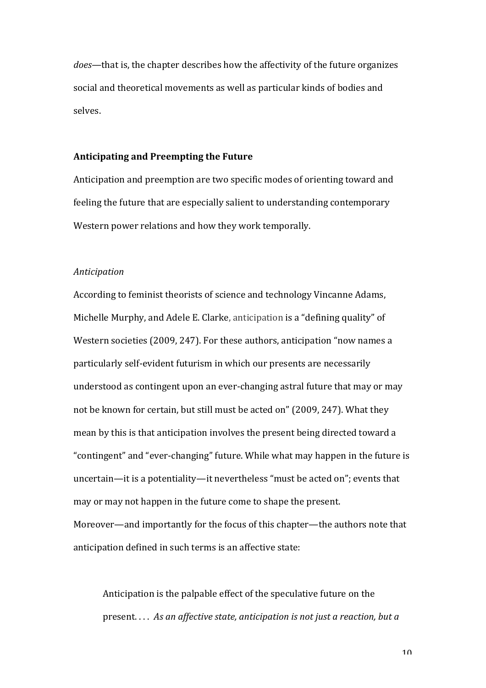*does*—that is, the chapter describes how the affectivity of the future organizes social and theoretical movements as well as particular kinds of bodies and selves.

## Anticipating and Preempting the Future

Anticipation and preemption are two specific modes of orienting toward and feeling the future that are especially salient to understanding contemporary Western power relations and how they work temporally.

#### *Anticipation*

According to feminist theorists of science and technology Vincanne Adams, Michelle Murphy, and Adele E. Clarke, anticipation is a "defining quality" of Western societies (2009, 247). For these authors, anticipation "now names a particularly self-evident futurism in which our presents are necessarily understood as contingent upon an ever-changing astral future that may or may not be known for certain, but still must be acted on" (2009, 247). What they mean by this is that anticipation involves the present being directed toward a "contingent" and "ever-changing" future. While what may happen in the future is uncertain—it is a potentiality—it nevertheless "must be acted on"; events that may or may not happen in the future come to shape the present. Moreover—and importantly for the focus of this chapter—the authors note that anticipation defined in such terms is an affective state:

Anticipation is the palpable effect of the speculative future on the present.... As an affective state, anticipation is not just a reaction, but a

 $1<sub>0</sub>$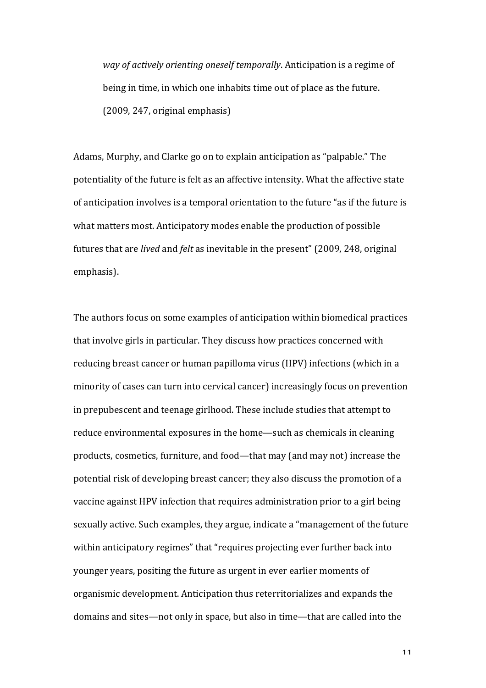*way* of *actively* orienting oneself temporally. Anticipation is a regime of being in time, in which one inhabits time out of place as the future.  $(2009, 247,$  original emphasis)

Adams, Murphy, and Clarke go on to explain anticipation as "palpable." The potentiality of the future is felt as an affective intensity. What the affective state of anticipation involves is a temporal orientation to the future "as if the future is what matters most. Anticipatory modes enable the production of possible futures that are *lived* and *felt* as inevitable in the present" (2009, 248, original emphasis).

The authors focus on some examples of anticipation within biomedical practices that involve girls in particular. They discuss how practices concerned with reducing breast cancer or human papilloma virus (HPV) infections (which in a minority of cases can turn into cervical cancer) increasingly focus on prevention in prepubescent and teenage girlhood. These include studies that attempt to reduce environmental exposures in the home—such as chemicals in cleaning products, cosmetics, furniture, and food—that may (and may not) increase the potential risk of developing breast cancer; they also discuss the promotion of a vaccine against HPV infection that requires administration prior to a girl being sexually active. Such examples, they argue, indicate a "management of the future within anticipatory regimes" that "requires projecting ever further back into younger years, positing the future as urgent in ever earlier moments of organismic development. Anticipation thus reterritorializes and expands the domains and sites—not only in space, but also in time—that are called into the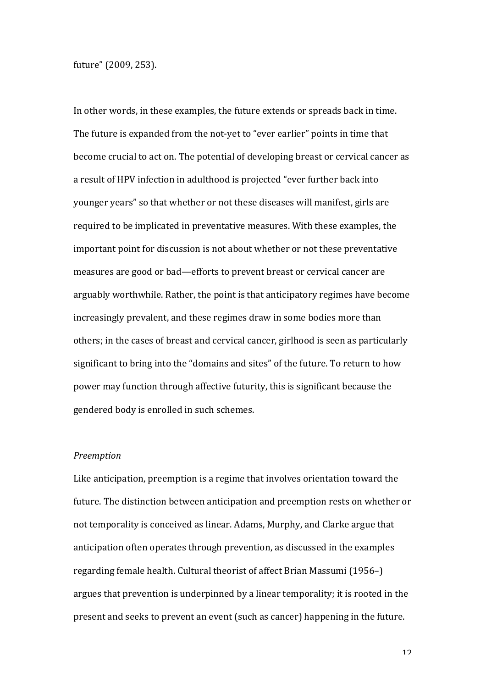### future" (2009, 253).

In other words, in these examples, the future extends or spreads back in time. The future is expanded from the not-yet to "ever earlier" points in time that become crucial to act on. The potential of developing breast or cervical cancer as a result of HPV infection in adulthood is projected "ever further back into younger years" so that whether or not these diseases will manifest, girls are required to be implicated in preventative measures. With these examples, the important point for discussion is not about whether or not these preventative measures are good or bad—efforts to prevent breast or cervical cancer are arguably worthwhile. Rather, the point is that anticipatory regimes have become increasingly prevalent, and these regimes draw in some bodies more than others; in the cases of breast and cervical cancer, girlhood is seen as particularly significant to bring into the "domains and sites" of the future. To return to how power may function through affective futurity, this is significant because the gendered body is enrolled in such schemes.

#### *Preemption*

Like anticipation, preemption is a regime that involves orientation toward the future. The distinction between anticipation and preemption rests on whether or not temporality is conceived as linear. Adams, Murphy, and Clarke argue that anticipation often operates through prevention, as discussed in the examples regarding female health. Cultural theorist of affect Brian Massumi (1956–) argues that prevention is underpinned by a linear temporality; it is rooted in the present and seeks to prevent an event (such as cancer) happening in the future.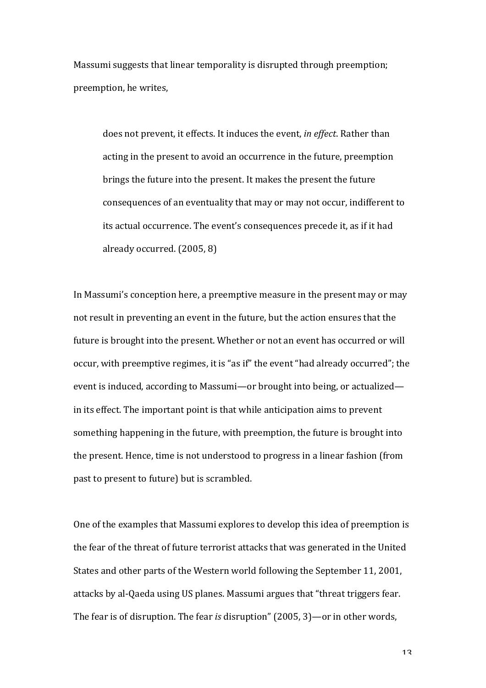Massumi suggests that linear temporality is disrupted through preemption; preemption, he writes,

does not prevent, it effects. It induces the event, *in effect*. Rather than acting in the present to avoid an occurrence in the future, preemption brings the future into the present. It makes the present the future consequences of an eventuality that may or may not occur, indifferent to its actual occurrence. The event's consequences precede it, as if it had already occurred. (2005, 8)

In Massumi's conception here, a preemptive measure in the present may or may not result in preventing an event in the future, but the action ensures that the future is brought into the present. Whether or not an event has occurred or will occur, with preemptive regimes, it is "as if" the event "had already occurred"; the event is induced, according to Massumi—or brought into being, or actualized in its effect. The important point is that while anticipation aims to prevent something happening in the future, with preemption, the future is brought into the present. Hence, time is not understood to progress in a linear fashion (from past to present to future) but is scrambled.

One of the examples that Massumi explores to develop this idea of preemption is the fear of the threat of future terrorist attacks that was generated in the United States and other parts of the Western world following the September 11, 2001, attacks by al-Qaeda using US planes. Massumi argues that "threat triggers fear. The fear is of disruption. The fear *is* disruption" (2005, 3)—or in other words,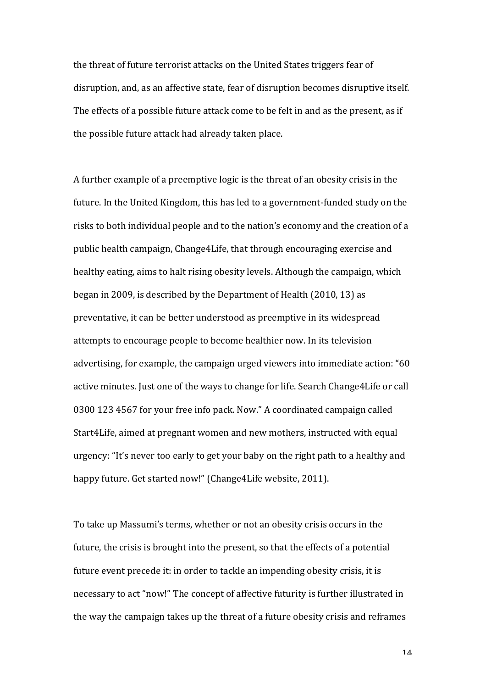the threat of future terrorist attacks on the United States triggers fear of disruption, and, as an affective state, fear of disruption becomes disruptive itself. The effects of a possible future attack come to be felt in and as the present, as if the possible future attack had already taken place.

A further example of a preemptive logic is the threat of an obesity crisis in the future. In the United Kingdom, this has led to a government-funded study on the risks to both individual people and to the nation's economy and the creation of a public health campaign, Change4Life, that through encouraging exercise and healthy eating, aims to halt rising obesity levels. Although the campaign, which began in 2009, is described by the Department of Health (2010, 13) as preventative, it can be better understood as preemptive in its widespread attempts to encourage people to become healthier now. In its television advertising, for example, the campaign urged viewers into immediate action: "60 active minutes. Just one of the ways to change for life. Search Change4Life or call 0300 123 4567 for your free info pack. Now." A coordinated campaign called Start4Life, aimed at pregnant women and new mothers, instructed with equal urgency: "It's never too early to get your baby on the right path to a healthy and happy future. Get started now!" (Change4Life website, 2011).

To take up Massumi's terms, whether or not an obesity crisis occurs in the future, the crisis is brought into the present, so that the effects of a potential future event precede it: in order to tackle an impending obesity crisis, it is necessary to act "now!" The concept of affective futurity is further illustrated in the way the campaign takes up the threat of a future obesity crisis and reframes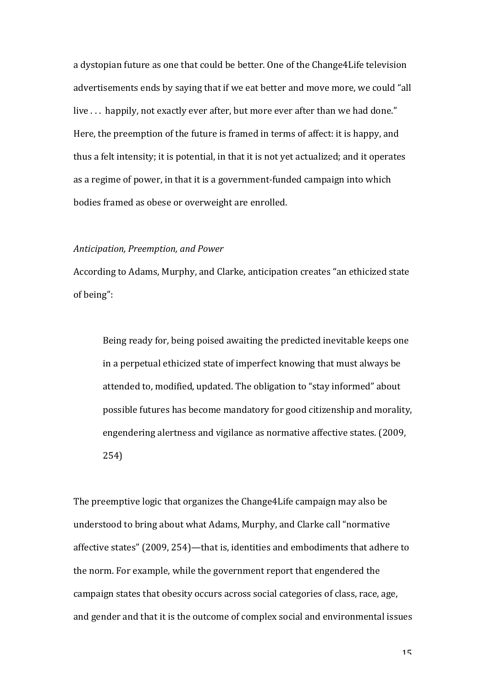a dystopian future as one that could be better. One of the Change4Life television advertisements ends by saying that if we eat better and move more, we could "all live ... happily, not exactly ever after, but more ever after than we had done." Here, the preemption of the future is framed in terms of affect: it is happy, and thus a felt intensity; it is potential, in that it is not yet actualized; and it operates as a regime of power, in that it is a government-funded campaign into which bodies framed as obese or overweight are enrolled.

### *Anticipation, Preemption, and Power*

According to Adams, Murphy, and Clarke, anticipation creates "an ethicized state of being":

Being ready for, being poised awaiting the predicted inevitable keeps one in a perpetual ethicized state of imperfect knowing that must always be attended to, modified, updated. The obligation to "stay informed" about possible futures has become mandatory for good citizenship and morality, engendering alertness and vigilance as normative affective states. (2009, 254)

The preemptive logic that organizes the Change4Life campaign may also be understood to bring about what Adams, Murphy, and Clarke call "normative" affective states" (2009, 254)—that is, identities and embodiments that adhere to the norm. For example, while the government report that engendered the campaign states that obesity occurs across social categories of class, race, age, and gender and that it is the outcome of complex social and environmental issues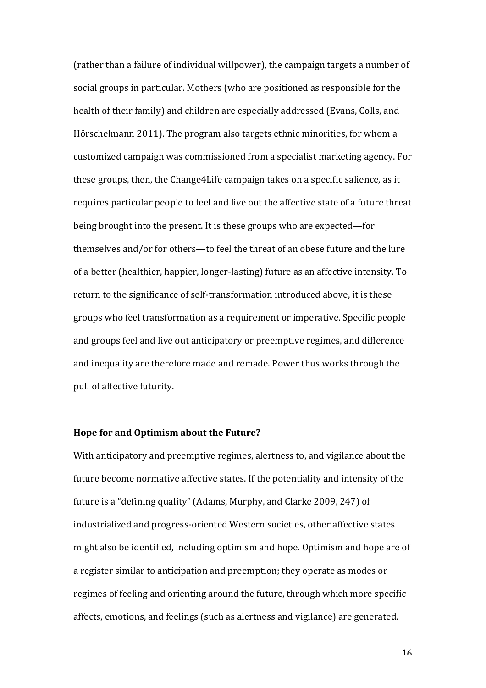(rather than a failure of individual willpower), the campaign targets a number of social groups in particular. Mothers (who are positioned as responsible for the health of their family) and children are especially addressed (Evans, Colls, and Hörschelmann 2011). The program also targets ethnic minorities, for whom a customized campaign was commissioned from a specialist marketing agency. For these groups, then, the Change4Life campaign takes on a specific salience, as it requires particular people to feel and live out the affective state of a future threat being brought into the present. It is these groups who are expected—for themselves and/or for others—to feel the threat of an obese future and the lure of a better (healthier, happier, longer-lasting) future as an affective intensity. To return to the significance of self-transformation introduced above, it is these groups who feel transformation as a requirement or imperative. Specific people and groups feel and live out anticipatory or preemptive regimes, and difference and inequality are therefore made and remade. Power thus works through the pull of affective futurity.

#### **Hope for and Optimism about the Future?**

With anticipatory and preemptive regimes, alertness to, and vigilance about the future become normative affective states. If the potentiality and intensity of the future is a "defining quality" (Adams, Murphy, and Clarke 2009, 247) of industrialized and progress-oriented Western societies, other affective states might also be identified, including optimism and hope. Optimism and hope are of a register similar to anticipation and preemption; they operate as modes or regimes of feeling and orienting around the future, through which more specific affects, emotions, and feelings (such as alertness and vigilance) are generated.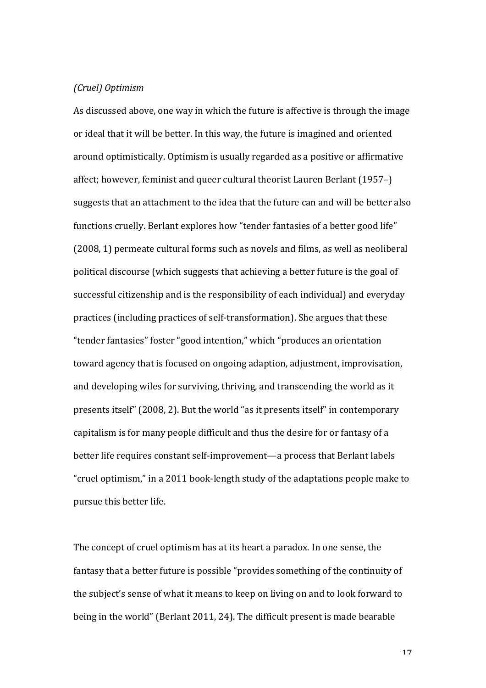# *(Cruel) Optimism*

As discussed above, one way in which the future is affective is through the image or ideal that it will be better. In this way, the future is imagined and oriented around optimistically. Optimism is usually regarded as a positive or affirmative affect; however, feminist and queer cultural theorist Lauren Berlant (1957–) suggests that an attachment to the idea that the future can and will be better also functions cruelly. Berlant explores how "tender fantasies of a better good life"  $(2008, 1)$  permeate cultural forms such as novels and films, as well as neoliberal political discourse (which suggests that achieving a better future is the goal of successful citizenship and is the responsibility of each individual) and everyday practices (including practices of self-transformation). She argues that these "tender fantasies" foster "good intention," which "produces an orientation toward agency that is focused on ongoing adaption, adjustment, improvisation, and developing wiles for surviving, thriving, and transcending the world as it presents itself" (2008, 2). But the world "as it presents itself" in contemporary capitalism is for many people difficult and thus the desire for or fantasy of a better life requires constant self-improvement—a process that Berlant labels "cruel optimism," in a 2011 book-length study of the adaptations people make to pursue this better life.

The concept of cruel optimism has at its heart a paradox. In one sense, the fantasy that a better future is possible "provides something of the continuity of the subject's sense of what it means to keep on living on and to look forward to being in the world" (Berlant 2011, 24). The difficult present is made bearable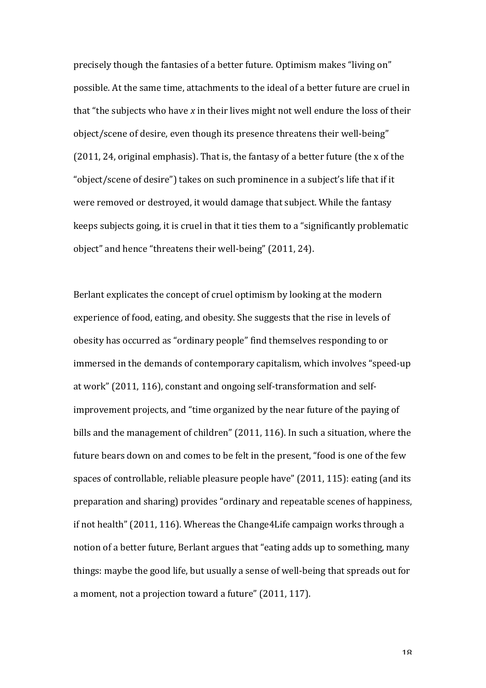precisely though the fantasies of a better future. Optimism makes "living on" possible. At the same time, attachments to the ideal of a better future are cruel in that "the subjects who have *x* in their lives might not well endure the loss of their object/scene of desire, even though its presence threatens their well-being" (2011, 24, original emphasis). That is, the fantasy of a better future (the  $x$  of the "object/scene of desire") takes on such prominence in a subject's life that if it were removed or destroyed, it would damage that subject. While the fantasy keeps subjects going, it is cruel in that it ties them to a "significantly problematic object" and hence "threatens their well-being" (2011, 24).

Berlant explicates the concept of cruel optimism by looking at the modern experience of food, eating, and obesity. She suggests that the rise in levels of obesity has occurred as "ordinary people" find themselves responding to or immersed in the demands of contemporary capitalism, which involves "speed-up at work" (2011, 116), constant and ongoing self-transformation and selfimprovement projects, and "time organized by the near future of the paying of bills and the management of children" (2011, 116). In such a situation, where the future bears down on and comes to be felt in the present, "food is one of the few spaces of controllable, reliable pleasure people have" (2011, 115): eating (and its preparation and sharing) provides "ordinary and repeatable scenes of happiness, if not health" (2011, 116). Whereas the Change 4 Life campaign works through a notion of a better future, Berlant argues that "eating adds up to something, many things: maybe the good life, but usually a sense of well-being that spreads out for a moment, not a projection toward a future" (2011, 117).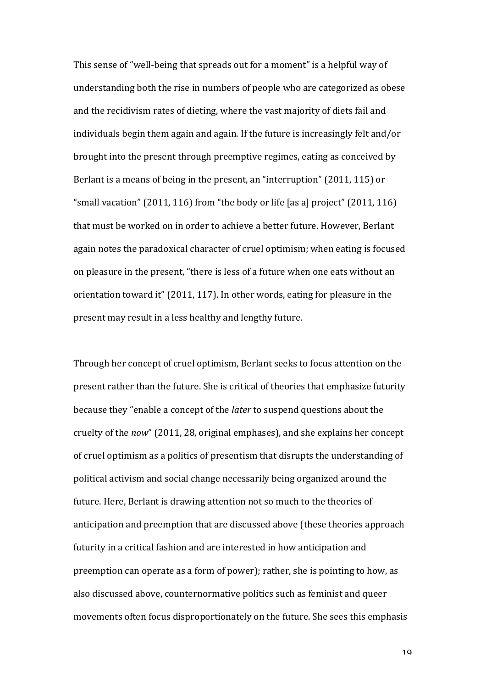This sense of "well-being that spreads out for a moment" is a helpful way of understanding both the rise in numbers of people who are categorized as obese and the recidivism rates of dieting, where the vast majority of diets fail and individuals begin them again and again. If the future is increasingly felt and/or brought into the present through preemptive regimes, eating as conceived by Berlant is a means of being in the present, an "interruption" (2011, 115) or "small vacation" (2011, 116) from "the body or life [as a] project" (2011, 116) that must be worked on in order to achieve a better future. However, Berlant again notes the paradoxical character of cruel optimism; when eating is focused on pleasure in the present, "there is less of a future when one eats without an orientation toward it" (2011, 117). In other words, eating for pleasure in the present may result in a less healthy and lengthy future.

Through her concept of cruel optimism, Berlant seeks to focus attention on the present rather than the future. She is critical of theories that emphasize futurity because they "enable a concept of the *later* to suspend questions about the cruelty of the *now*" (2011, 28, original emphases), and she explains her concept of cruel optimism as a politics of presentism that disrupts the understanding of political activism and social change necessarily being organized around the future. Here, Berlant is drawing attention not so much to the theories of anticipation and preemption that are discussed above (these theories approach futurity in a critical fashion and are interested in how anticipation and preemption can operate as a form of power); rather, she is pointing to how, as also discussed above, counternormative politics such as feminist and queer movements often focus disproportionately on the future. She sees this emphasis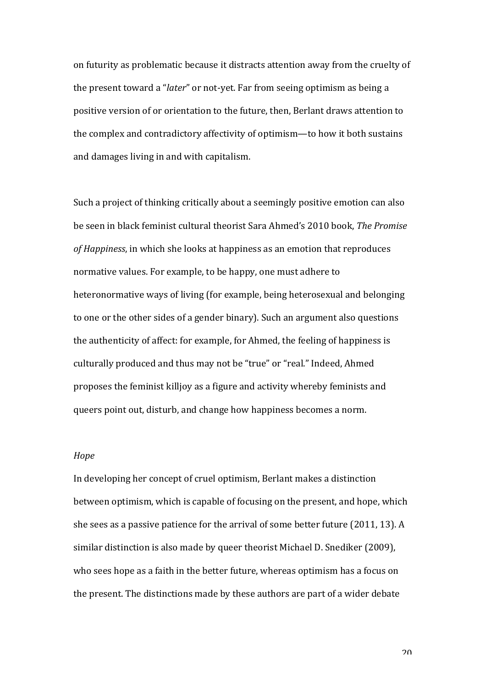on futurity as problematic because it distracts attention away from the cruelty of the present toward a "*later*" or not-yet. Far from seeing optimism as being a positive version of or orientation to the future, then, Berlant draws attention to the complex and contradictory affectivity of optimism—to how it both sustains and damages living in and with capitalism.

Such a project of thinking critically about a seemingly positive emotion can also be seen in black feminist cultural theorist Sara Ahmed's 2010 book, *The Promise of Happiness*, in which she looks at happiness as an emotion that reproduces normative values. For example, to be happy, one must adhere to heteronormative ways of living (for example, being heterosexual and belonging to one or the other sides of a gender binary). Such an argument also questions the authenticity of affect: for example, for Ahmed, the feeling of happiness is culturally produced and thus may not be "true" or "real." Indeed, Ahmed proposes the feminist killjoy as a figure and activity whereby feminists and queers point out, disturb, and change how happiness becomes a norm.

### *Hope*

In developing her concept of cruel optimism, Berlant makes a distinction between optimism, which is capable of focusing on the present, and hope, which she sees as a passive patience for the arrival of some better future (2011, 13). A similar distinction is also made by queer theorist Michael D. Snediker (2009), who sees hope as a faith in the better future, whereas optimism has a focus on the present. The distinctions made by these authors are part of a wider debate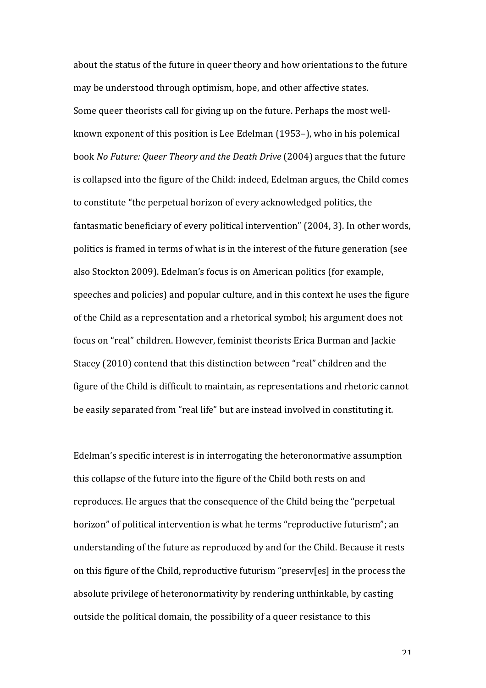about the status of the future in queer theory and how orientations to the future may be understood through optimism, hope, and other affective states. Some queer theorists call for giving up on the future. Perhaps the most wellknown exponent of this position is Lee Edelman (1953–), who in his polemical book *No Future: Queer Theory and the Death Drive* (2004) argues that the future is collapsed into the figure of the Child: indeed, Edelman argues, the Child comes to constitute "the perpetual horizon of every acknowledged politics, the fantasmatic beneficiary of every political intervention" (2004, 3). In other words, politics is framed in terms of what is in the interest of the future generation (see also Stockton 2009). Edelman's focus is on American politics (for example, speeches and policies) and popular culture, and in this context he uses the figure of the Child as a representation and a rhetorical symbol; his argument does not focus on "real" children. However, feminist theorists Erica Burman and Jackie Stacey (2010) contend that this distinction between "real" children and the figure of the Child is difficult to maintain, as representations and rhetoric cannot be easily separated from "real life" but are instead involved in constituting it.

Edelman's specific interest is in interrogating the heteronormative assumption this collapse of the future into the figure of the Child both rests on and reproduces. He argues that the consequence of the Child being the "perpetual horizon" of political intervention is what he terms "reproductive futurism"; an understanding of the future as reproduced by and for the Child. Because it rests on this figure of the Child, reproductive futurism "preserv[es] in the process the absolute privilege of heteronormativity by rendering unthinkable, by casting outside the political domain, the possibility of a queer resistance to this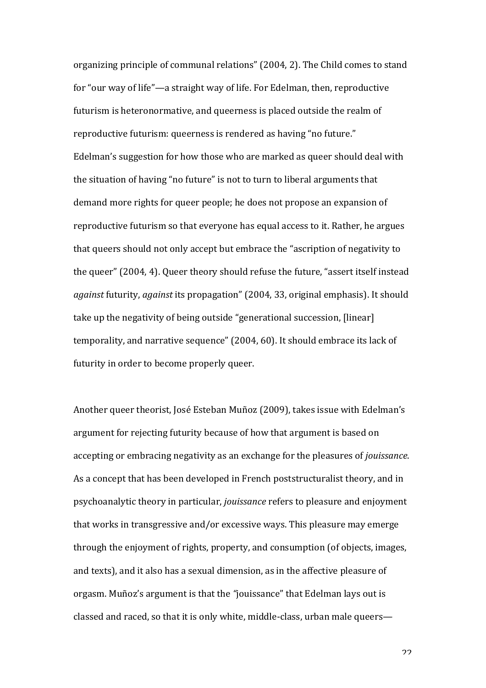organizing principle of communal relations" (2004, 2). The Child comes to stand for "our way of life"—a straight way of life. For Edelman, then, reproductive futurism is heteronormative, and queerness is placed outside the realm of reproductive futurism: queerness is rendered as having "no future." Edelman's suggestion for how those who are marked as queer should deal with the situation of having "no future" is not to turn to liberal arguments that demand more rights for queer people; he does not propose an expansion of reproductive futurism so that everyone has equal access to it. Rather, he argues that queers should not only accept but embrace the "ascription of negativity to the queer" (2004, 4). Queer theory should refuse the future, "assert itself instead *against* futurity, *against* its propagation" (2004, 33, original emphasis). It should take up the negativity of being outside "generational succession, [linear] temporality, and narrative sequence" (2004, 60). It should embrace its lack of futurity in order to become properly queer.

Another queer theorist, José Esteban Muñoz (2009), takes issue with Edelman's argument for rejecting futurity because of how that argument is based on accepting or embracing negativity as an exchange for the pleasures of *jouissance*. As a concept that has been developed in French poststructuralist theory, and in psychoanalytic theory in particular, *jouissance* refers to pleasure and enjoyment that works in transgressive and/or excessive ways. This pleasure may emerge through the enjoyment of rights, property, and consumption (of objects, images, and texts), and it also has a sexual dimension, as in the affective pleasure of orgasm. Muñoz's argument is that the "jouissance" that Edelman lays out is classed and raced, so that it is only white, middle-class, urban male queers—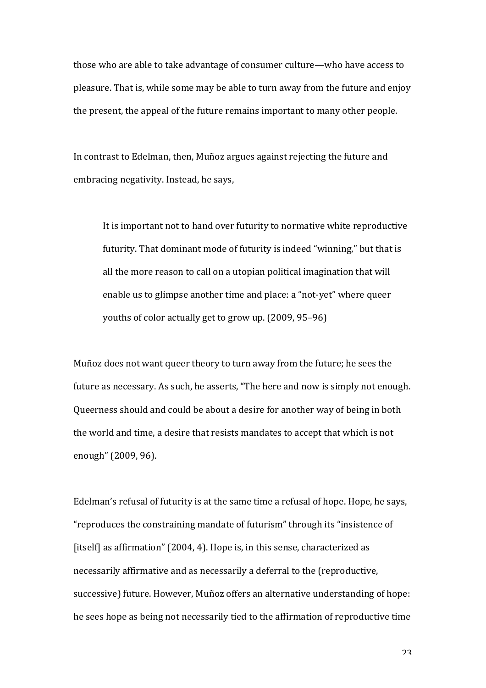those who are able to take advantage of consumer culture—who have access to pleasure. That is, while some may be able to turn away from the future and enjoy the present, the appeal of the future remains important to many other people.

In contrast to Edelman, then, Muñoz argues against rejecting the future and embracing negativity. Instead, he says,

It is important not to hand over futurity to normative white reproductive futurity. That dominant mode of futurity is indeed "winning," but that is all the more reason to call on a utopian political imagination that will enable us to glimpse another time and place: a "not-yet" where queer vouths of color actually get to grow up.  $(2009, 95-96)$ 

Muñoz does not want queer theory to turn away from the future; he sees the future as necessary. As such, he asserts, "The here and now is simply not enough. Queerness should and could be about a desire for another way of being in both the world and time, a desire that resists mandates to accept that which is not enough" (2009, 96).

Edelman's refusal of futurity is at the same time a refusal of hope. Hope, he says, "reproduces the constraining mandate of futurism" through its "insistence of [itself] as affirmation"  $(2004, 4)$ . Hope is, in this sense, characterized as necessarily affirmative and as necessarily a deferral to the (reproductive, successive) future. However, Muñoz offers an alternative understanding of hope: he sees hope as being not necessarily tied to the affirmation of reproductive time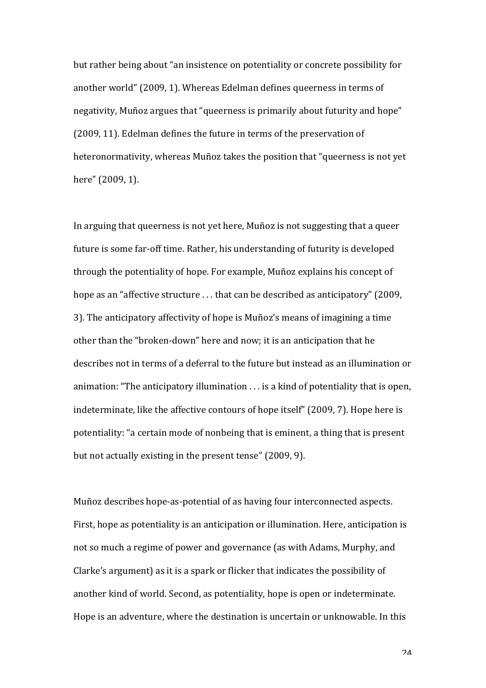but rather being about "an insistence on potentiality or concrete possibility for another world" (2009, 1). Whereas Edelman defines queerness in terms of negativity, Muñoz argues that "queerness is primarily about futurity and hope" (2009, 11). Edelman defines the future in terms of the preservation of heteronormativity, whereas Muñoz takes the position that "queerness is not yet here" (2009, 1).

In arguing that queerness is not yet here, Muñoz is not suggesting that a queer future is some far-off time. Rather, his understanding of futurity is developed through the potentiality of hope. For example, Muñoz explains his concept of hope as an "affective structure  $\dots$  that can be described as anticipatory" (2009, 3). The anticipatory affectivity of hope is Muñoz's means of imagining a time other than the "broken-down" here and now; it is an anticipation that he describes not in terms of a deferral to the future but instead as an illumination or animation: "The anticipatory illumination  $\ldots$  is a kind of potentiality that is open, indeterminate, like the affective contours of hope itself" (2009, 7). Hope here is potentiality: "a certain mode of nonbeing that is eminent, a thing that is present but not actually existing in the present tense" (2009, 9).

Muñoz describes hope-as-potential of as having four interconnected aspects. First, hope as potentiality is an anticipation or illumination. Here, anticipation is not so much a regime of power and governance (as with Adams, Murphy, and Clarke's argument) as it is a spark or flicker that indicates the possibility of another kind of world. Second, as potentiality, hope is open or indeterminate. Hope is an adventure, where the destination is uncertain or unknowable. In this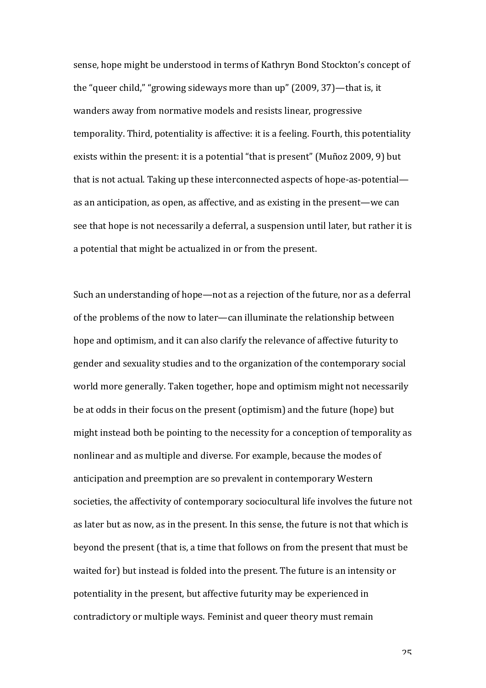sense, hope might be understood in terms of Kathryn Bond Stockton's concept of the "queer child," "growing sideways more than  $up$ " (2009, 37)—that is, it wanders away from normative models and resists linear, progressive temporality. Third, potentiality is affective: it is a feeling. Fourth, this potentiality exists within the present: it is a potential "that is present" (Muñoz 2009, 9) but that is not actual. Taking up these interconnected aspects of hope-as-potential as an anticipation, as open, as affective, and as existing in the present—we can see that hope is not necessarily a deferral, a suspension until later, but rather it is a potential that might be actualized in or from the present.

Such an understanding of hope—not as a rejection of the future, nor as a deferral of the problems of the now to later—can illuminate the relationship between hope and optimism, and it can also clarify the relevance of affective futurity to gender and sexuality studies and to the organization of the contemporary social world more generally. Taken together, hope and optimism might not necessarily be at odds in their focus on the present (optimism) and the future (hope) but might instead both be pointing to the necessity for a conception of temporality as nonlinear and as multiple and diverse. For example, because the modes of anticipation and preemption are so prevalent in contemporary Western societies, the affectivity of contemporary sociocultural life involves the future not as later but as now, as in the present. In this sense, the future is not that which is beyond the present (that is, a time that follows on from the present that must be waited for) but instead is folded into the present. The future is an intensity or potentiality in the present, but affective futurity may be experienced in contradictory or multiple ways. Feminist and queer theory must remain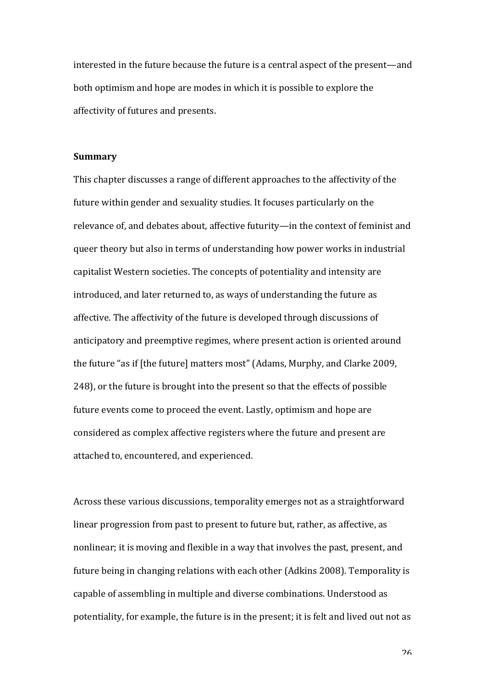interested in the future because the future is a central aspect of the present—and both optimism and hope are modes in which it is possible to explore the affectivity of futures and presents.

#### **Summary**

This chapter discusses a range of different approaches to the affectivity of the future within gender and sexuality studies. It focuses particularly on the relevance of, and debates about, affective futurity—in the context of feminist and queer theory but also in terms of understanding how power works in industrial capitalist Western societies. The concepts of potentiality and intensity are introduced, and later returned to, as ways of understanding the future as affective. The affectivity of the future is developed through discussions of anticipatory and preemptive regimes, where present action is oriented around the future "as if [the future] matters most" (Adams, Murphy, and Clarke 2009, 248), or the future is brought into the present so that the effects of possible future events come to proceed the event. Lastly, optimism and hope are considered as complex affective registers where the future and present are attached to, encountered, and experienced.

Across these various discussions, temporality emerges not as a straightforward linear progression from past to present to future but, rather, as affective, as nonlinear; it is moving and flexible in a way that involves the past, present, and future being in changing relations with each other (Adkins 2008). Temporality is capable of assembling in multiple and diverse combinations. Understood as potentiality, for example, the future is in the present; it is felt and lived out not as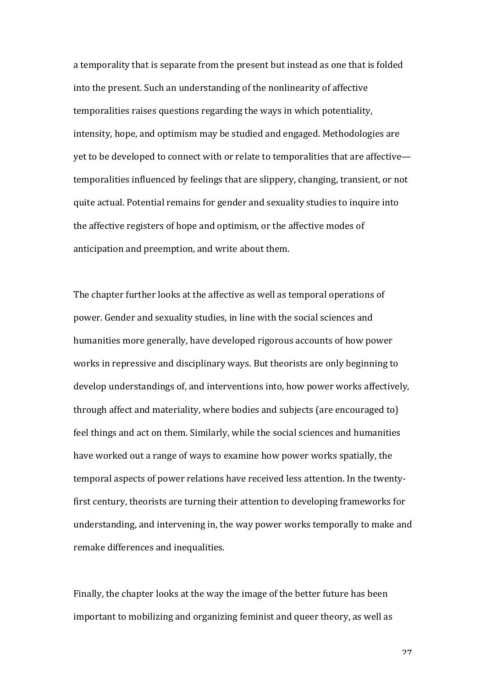a temporality that is separate from the present but instead as one that is folded into the present. Such an understanding of the nonlinearity of affective temporalities raises questions regarding the ways in which potentiality, intensity, hope, and optimism may be studied and engaged. Methodologies are yet to be developed to connect with or relate to temporalities that are affective temporalities influenced by feelings that are slippery, changing, transient, or not quite actual. Potential remains for gender and sexuality studies to inquire into the affective registers of hope and optimism, or the affective modes of anticipation and preemption, and write about them.

The chapter further looks at the affective as well as temporal operations of power. Gender and sexuality studies, in line with the social sciences and humanities more generally, have developed rigorous accounts of how power works in repressive and disciplinary ways. But theorists are only beginning to develop understandings of, and interventions into, how power works affectively, through affect and materiality, where bodies and subjects (are encouraged to) feel things and act on them. Similarly, while the social sciences and humanities have worked out a range of ways to examine how power works spatially, the temporal aspects of power relations have received less attention. In the twentyfirst century, theorists are turning their attention to developing frameworks for understanding, and intervening in, the way power works temporally to make and remake differences and inequalities.

Finally, the chapter looks at the way the image of the better future has been important to mobilizing and organizing feminist and queer theory, as well as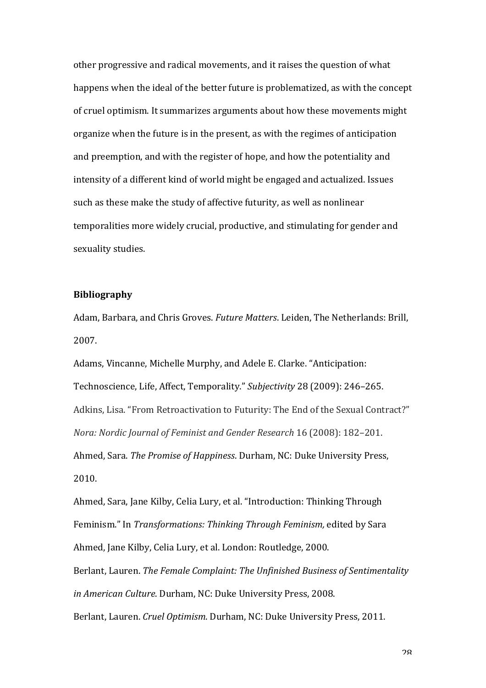other progressive and radical movements, and it raises the question of what happens when the ideal of the better future is problematized, as with the concept of cruel optimism. It summarizes arguments about how these movements might organize when the future is in the present, as with the regimes of anticipation and preemption, and with the register of hope, and how the potentiality and intensity of a different kind of world might be engaged and actualized. Issues such as these make the study of affective futurity, as well as nonlinear temporalities more widely crucial, productive, and stimulating for gender and sexuality studies.

#### **Bibliography**

Adam, Barbara, and Chris Groves. *Future Matters*. Leiden, The Netherlands: Brill, 2007.

Adams, Vincanne, Michelle Murphy, and Adele E. Clarke. "Anticipation: Technoscience, Life, Affect, Temporality." Subjectivity 28 (2009): 246-265. Adkins, Lisa. "From Retroactivation to Futurity: The End of the Sexual Contract?" *Nora: Nordic Journal of Feminist and Gender Research* 16 (2008): 182-201. Ahmed, Sara. *The Promise of Happiness*. Durham, NC: Duke University Press, 2010.

Ahmed, Sara, Jane Kilby, Celia Lury, et al. "Introduction: Thinking Through Feminism." In *Transformations: Thinking Through Feminism*, edited by Sara Ahmed, Jane Kilby, Celia Lury, et al. London: Routledge, 2000.

Berlant, Lauren. The Female Complaint: The Unfinished Business of Sentimentality in American Culture. Durham, NC: Duke University Press, 2008.

Berlant, Lauren. *Cruel Optimism*. Durham, NC: Duke University Press, 2011.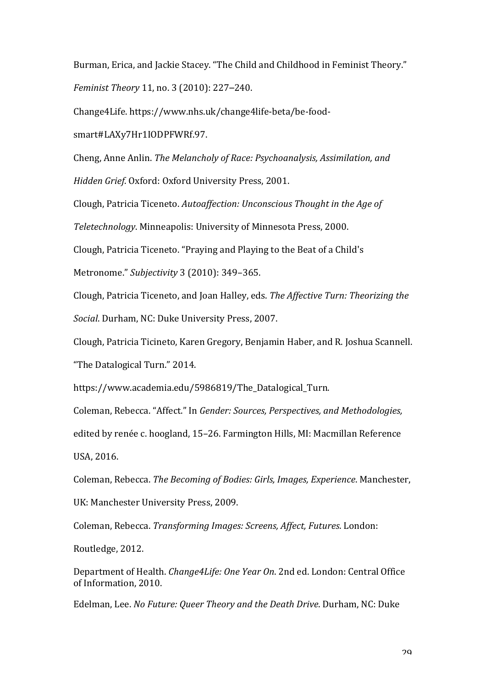Burman, Erica, and Jackie Stacey. "The Child and Childhood in Feminist Theory." *Feminist Theory* 11, no. 3 (2010): 227-240.

Change4Life. https://www.nhs.uk/change4life-beta/be-food-

smart#LAXy7Hr1IODPFWRf.97.

Cheng, Anne Anlin. *The Melancholy of Race: Psychoanalysis, Assimilation, and Hidden Grief.* Oxford: Oxford University Press, 2001.

Clough, Patricia Ticeneto. *Autoaffection: Unconscious Thought in the Age of* 

*Teletechnology*. Minneapolis: University of Minnesota Press, 2000.

Clough, Patricia Ticeneto. "Praying and Playing to the Beat of a Child's

Metronome." *Subjectivity* 3 (2010): 349–365.

Clough, Patricia Ticeneto, and Joan Halley, eds. *The Affective Turn: Theorizing the Social.* Durham, NC: Duke University Press, 2007.

Clough, Patricia Ticineto, Karen Gregory, Benjamin Haber, and R. Joshua Scannell. "The Datalogical Turn." 2014.

https://www.academia.edu/5986819/The\_Datalogical\_Turn.

Coleman, Rebecca. "Affect." In *Gender: Sources, Perspectives, and Methodologies.* 

edited by renée c. hoogland, 15–26. Farmington Hills, MI: Macmillan Reference

USA, 2016.

Coleman, Rebecca. *The Becoming of Bodies: Girls, Images, Experience*. Manchester,

UK: Manchester University Press, 2009.

Coleman, Rebecca. *Transforming Images: Screens, Affect, Futures*. London: 

Routledge, 2012.

Department of Health. *Change4Life: One Year On*. 2nd ed. London: Central Office of Information, 2010.

Edelman, Lee. No Future: Queer Theory and the Death Drive. Durham, NC: Duke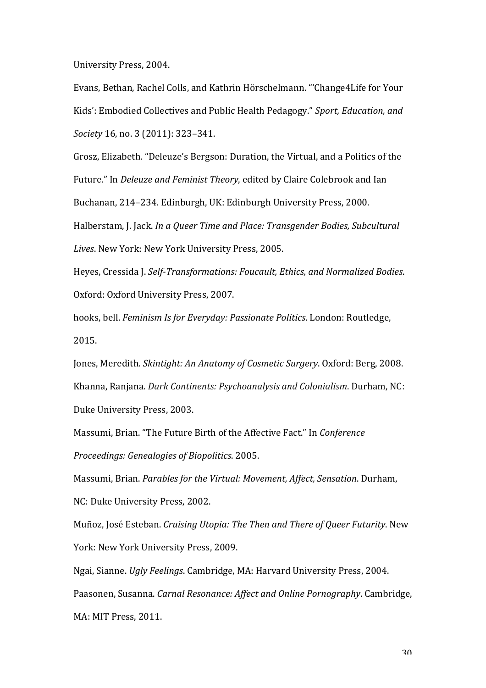University Press, 2004.

Evans, Bethan, Rachel Colls, and Kathrin Hörschelmann. "'Change4Life for Your Kids': Embodied Collectives and Public Health Pedagogy." Sport, Education, and *Society* 16, no. 3 (2011): 323-341.

Grosz, Elizabeth. "Deleuze's Bergson: Duration, the Virtual, and a Politics of the Future." In *Deleuze and Feminist Theory*, edited by Claire Colebrook and Ian Buchanan, 214–234. Edinburgh, UK: Edinburgh University Press, 2000.

Halberstam, J. Jack. *In a Queer Time and Place: Transgender Bodies, Subcultural* Lives. New York: New York University Press, 2005.

Heyes, Cressida J. *Self-Transformations: Foucault, Ethics, and Normalized Bodies*. Oxford: Oxford University Press, 2007.

hooks, bell. *Feminism Is for Everyday: Passionate Politics*. London: Routledge, 2015.

Jones, Meredith. *Skintight: An Anatomy of Cosmetic Surgery*. Oxford: Berg, 2008. Khanna, Ranjana. *Dark Continents: Psychoanalysis and Colonialism*. Durham, NC: Duke University Press, 2003.

Massumi, Brian. "The Future Birth of the Affective Fact." In *Conference Proceedings: Genealogies of Biopolitics*. 2005.

Massumi, Brian. *Parables for the Virtual: Movement, Affect, Sensation*. Durham, NC: Duke University Press, 2002.

Muñoz, José Esteban. *Cruising Utopia: The Then and There of Queer Futurity*. New York: New York University Press, 2009.

Ngai, Sianne. *Ugly Feelings*. Cambridge, MA: Harvard University Press, 2004. Paasonen, Susanna. *Carnal Resonance: Affect and Online Pornography*. Cambridge, MA: MIT Press, 2011.